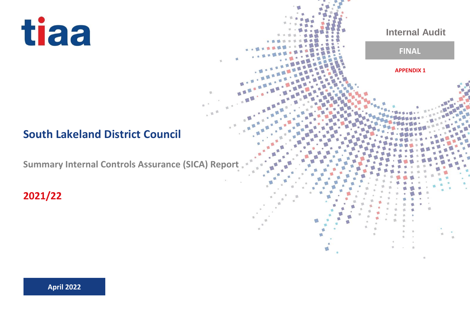# tiaa

## **South Lakeland District Council**

**Summary Internal Controls Assurance (SICA) Report** 

**Internal Audit**

**APPENDIX 1**

**FINAL**

**2021/22**

**April 2022**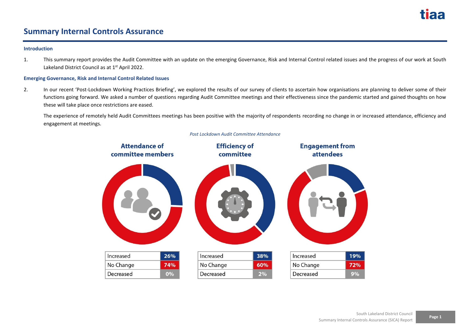

### **Summary Internal Controls Assurance**

#### **Introduction**

1. This summary report provides the Audit Committee with an update on the emerging Governance, Risk and Internal Control related issues and the progress of our work at South Lakeland District Council as at 1<sup>st</sup> April 2022.

#### **Emerging Governance, Risk and Internal Control Related Issues**

2. In our recent 'Post-Lockdown Working Practices Briefing', we explored the results of our survey of clients to ascertain how organisations are planning to deliver some of their functions going forward. We asked a number of questions regarding Audit Committee meetings and their effectiveness since the pandemic started and gained thoughts on how these will take place once restrictions are eased.

The experience of remotely held Audit Committees meetings has been positive with the majority of respondents recording no change in or increased attendance, efficiency and engagement at meetings.



#### *Post Lockdown Audit Committee Attendance*

**Page 1**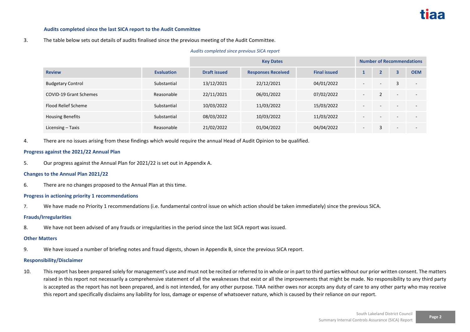#### **Audits completed since the last SICA report to the Audit Committee**

#### 3. The table below sets out details of audits finalised since the previous meeting of the Audit Committee.

#### *Audits completed since previous SICA report*

|                               |                   | <b>Key Dates</b>    |                           |                     | <b>Number of Recommendations</b> |   |   |            |
|-------------------------------|-------------------|---------------------|---------------------------|---------------------|----------------------------------|---|---|------------|
| <b>Review</b>                 | <b>Evaluation</b> | <b>Draft issued</b> | <b>Responses Received</b> | <b>Final issued</b> |                                  |   | 3 | <b>OEM</b> |
| <b>Budgetary Control</b>      | Substantial       | 13/12/2021          | 22/12/2021                | 04/01/2022          |                                  |   |   |            |
| <b>COVID-19 Grant Schemes</b> | Reasonable        | 22/11/2021          | 06/01/2022                | 07/02/2022          | $\overline{\phantom{a}}$         |   |   |            |
| Flood Relief Scheme           | Substantial       | 10/03/2022          | 11/03/2022                | 15/03/2022          | $\overline{\phantom{a}}$         |   |   |            |
| <b>Housing Benefits</b>       | Substantial       | 08/03/2022          | 10/03/2022                | 11/03/2022          |                                  |   |   |            |
| Licensing - Taxis             | Reasonable        | 21/02/2022          | 01/04/2022                | 04/04/2022          | $\overline{\phantom{a}}$         | 3 |   |            |

4. There are no issues arising from these findings which would require the annual Head of Audit Opinion to be qualified.

#### **Progress against the 2021/22 Annual Plan**

5. Our progress against the Annual Plan for 2021/22 is set out in Appendix A.

#### **Changes to the Annual Plan 2021/22**

6. There are no changes proposed to the Annual Plan at this time.

#### **Progress in actioning priority 1 recommendations**

7. We have made no Priority 1 recommendations (i.e. fundamental control issue on which action should be taken immediately) since the previous SICA.

#### **Frauds/Irregularities**

8. We have not been advised of any frauds or irregularities in the period since the last SICA report was issued.

#### **Other Matters**

9. We have issued a number of briefing notes and fraud digests, shown in Appendix B, since the previous SICA report.

#### **Responsibility/Disclaimer**

10. This report has been prepared solely for management's use and must not be recited or referred to in whole or in part to third parties without our prior written consent. The matters raised in this report not necessarily a comprehensive statement of all the weaknesses that exist or all the improvements that might be made. No responsibility to any third party is accepted as the report has not been prepared, and is not intended, for any other purpose. TIAA neither owes nor accepts any duty of care to any other party who may receive this report and specifically disclaims any liability for loss, damage or expense of whatsoever nature, which is caused by their reliance on our report.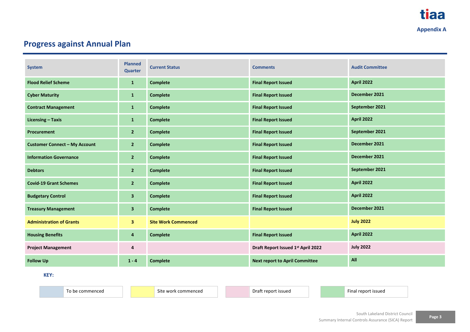## **Progress against Annual Plan**

| <b>System</b>                        | <b>Planned</b><br><b>Quarter</b> | <b>Current Status</b>      | <b>Comments</b>                       | <b>Audit Committee</b> |
|--------------------------------------|----------------------------------|----------------------------|---------------------------------------|------------------------|
| <b>Flood Relief Scheme</b>           | $\mathbf{1}$                     | <b>Complete</b>            | <b>Final Report Issued</b>            | <b>April 2022</b>      |
| <b>Cyber Maturity</b>                | $\mathbf{1}$                     | <b>Complete</b>            | <b>Final Report Issued</b>            | December 2021          |
| <b>Contract Management</b>           | $\mathbf{1}$                     | <b>Complete</b>            | <b>Final Report Issued</b>            | September 2021         |
| <b>Licensing - Taxis</b>             | $\mathbf{1}$                     | <b>Complete</b>            | <b>Final Report Issued</b>            | <b>April 2022</b>      |
| Procurement                          | $2^{\circ}$                      | <b>Complete</b>            | <b>Final Report Issued</b>            | September 2021         |
| <b>Customer Connect - My Account</b> | $\overline{2}$                   | <b>Complete</b>            | <b>Final Report Issued</b>            | December 2021          |
| <b>Information Governance</b>        | $\overline{2}$                   | <b>Complete</b>            | <b>Final Report Issued</b>            | December 2021          |
| <b>Debtors</b>                       | $\overline{2}$                   | <b>Complete</b>            | <b>Final Report Issued</b>            | September 2021         |
| <b>Covid-19 Grant Schemes</b>        | $\overline{2}$                   | <b>Complete</b>            | <b>Final Report Issued</b>            | <b>April 2022</b>      |
| <b>Budgetary Control</b>             | $\overline{\mathbf{3}}$          | <b>Complete</b>            | <b>Final Report Issued</b>            | <b>April 2022</b>      |
| <b>Treasury Management</b>           | $\overline{\mathbf{3}}$          | <b>Complete</b>            | <b>Final Report Issued</b>            | December 2021          |
| <b>Administration of Grants</b>      | 3 <sup>1</sup>                   | <b>Site Work Commenced</b> |                                       | <b>July 2022</b>       |
| <b>Housing Benefits</b>              | 4                                | <b>Complete</b>            | <b>Final Report Issued</b>            | <b>April 2022</b>      |
| <b>Project Management</b>            | 4                                |                            | Draft Report Issued 1st April 2022    | <b>July 2022</b>       |
| <b>Follow Up</b>                     | $1 - 4$                          | <b>Complete</b>            | <b>Next report to April Committee</b> | All                    |

**KEY:**

To be commenced and Site work commenced Draft report issued Final report issued Final report issued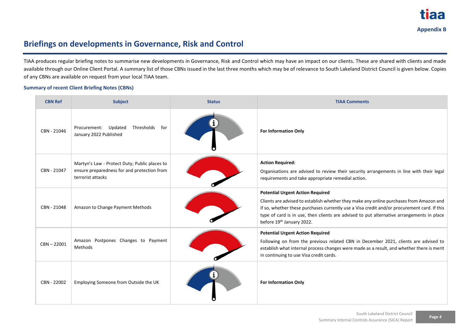

## **Briefings on developments in Governance, Risk and Control**

TIAA produces regular briefing notes to summarise new developments in Governance, Risk and Control which may have an impact on our clients. These are shared with clients and made available through our Online Client Portal. A summary list of those CBNs issued in the last three months which may be of relevance to South Lakeland District Council is given below. Copies of any CBNs are available on request from your local TIAA team.

#### **Summary of recent Client Briefing Notes (CBNs)**

| <b>CBN Ref</b> | <b>Subject</b>                                                                                                    | <b>Status</b> | <b>TIAA Comments</b>                                                                                                                                                                                                                                                                                                                                        |
|----------------|-------------------------------------------------------------------------------------------------------------------|---------------|-------------------------------------------------------------------------------------------------------------------------------------------------------------------------------------------------------------------------------------------------------------------------------------------------------------------------------------------------------------|
| CBN - 21046    | Thresholds<br>for<br>Procurement: Updated<br>January 2022 Published                                               |               | <b>For Information Only</b>                                                                                                                                                                                                                                                                                                                                 |
| CBN - 21047    | Martyn's Law - Protect Duty; Public places to<br>ensure preparedness for and protection from<br>terrorist attacks |               | <b>Action Required:</b><br>Organisations are advised to review their security arrangements in line with their legal<br>requirements and take appropriate remedial action.                                                                                                                                                                                   |
| CBN - 21048    | Amazon to Change Payment Methods                                                                                  |               | <b>Potential Urgent Action Required</b><br>Clients are advised to establish whether they make any online purchases from Amazon and<br>if so, whether these purchases currently use a Visa credit and/or procurement card. If this<br>type of card is in use, then clients are advised to put alternative arrangements in place<br>before 19th January 2022. |
| $CBN - 22001$  | Amazon Postpones Changes to Payment<br>Methods                                                                    |               | <b>Potential Urgent Action Required</b><br>Following on from the previous related CBN in December 2021, clients are advised to<br>establish what internal process changes were made as a result, and whether there is merit<br>in continuing to use Visa credit cards.                                                                                      |
| CBN - 22002    | Employing Someone from Outside the UK                                                                             |               | <b>For Information Only</b>                                                                                                                                                                                                                                                                                                                                 |